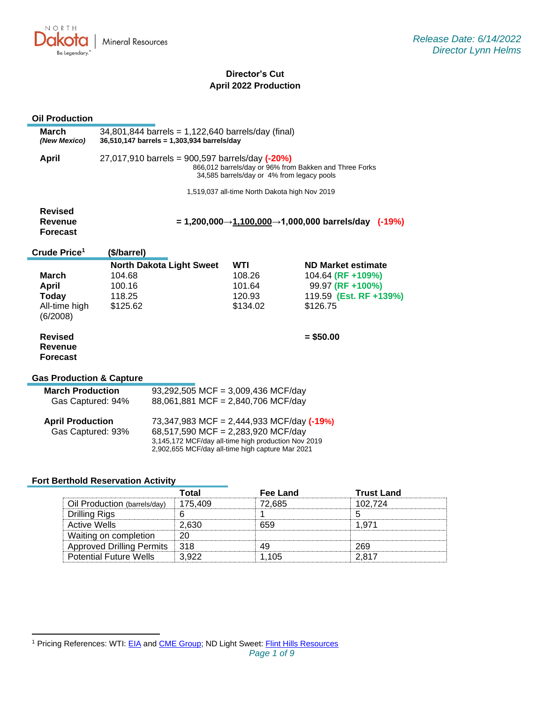

# **Director's Cut April 2022 Production**

## **Oil Production**

| March        | $34,801,844$ barrels = 1,122,640 barrels/day (final)                                                                                                       |
|--------------|------------------------------------------------------------------------------------------------------------------------------------------------------------|
| (New Mexico) | $36,510,147$ barrels = 1,303,934 barrels/day                                                                                                               |
| April        | 27,017,910 barrels = 900,597 barrels/day $(-20\%)$<br>866,012 barrels/day or 96% from Bakken and Three Forks<br>34,585 barrels/day or 4% from legacy pools |

1,519,037 all-time North Dakota high Nov 2019

| Revised         |                                                    |  |
|-----------------|----------------------------------------------------|--|
| Revenue         | = 1,200,000→1,100,000→1,000,000 barrels/day (-19%) |  |
| <b>Forecast</b> |                                                    |  |

| Crude Price <sup>1</sup>                     | (\$/barrel)                        |          |                        |
|----------------------------------------------|------------------------------------|----------|------------------------|
|                                              | <b>North Dakota Light Sweet</b>    | WTI      | ND Market estimate     |
| March                                        | 104.68                             | 108.26   | 104.64 (RF +109%)      |
| April                                        | 100.16                             | 101.64   | 99.97 (RF +100%)       |
| Today                                        | 118.25                             | 120.93   | 119.59 (Est. RF +139%) |
| All-time high<br>(6/2008)                    | \$125.62                           | \$134.02 | \$126.75               |
| <b>Revised</b><br>Revenue<br><b>Forecast</b> |                                    |          | $=$ \$50.00            |
| <b>Gas Production &amp; Capture</b>          |                                    |          |                        |
| <b>March Production</b>                      | 93,292,505 MCF = 3,009,436 MCF/day |          |                        |

| Gas Captured: 94%                            | 88,061,881 MCF = 2,840,706 MCF/day                                                                                                                                                           |
|----------------------------------------------|----------------------------------------------------------------------------------------------------------------------------------------------------------------------------------------------|
| <b>April Production</b><br>Gas Captured: 93% | 73,347,983 MCF = 2,444,933 MCF/day $(-19%)$<br>68,517,590 MCF = 2,283,920 MCF/day<br>3,145,172 MCF/day all-time high production Nov 2019<br>2,902,655 MCF/day all-time high capture Mar 2021 |

## **Fort Berthold Reservation Activity**

|                                  | Total   | Fee Land | <b>Trust Land</b> |
|----------------------------------|---------|----------|-------------------|
| Oil Production (barrels/day)     | 175.409 | 72 685   | 102.724           |
| Drilling Rigs                    |         |          |                   |
| Active Wells                     | -630    |          | -971              |
| Waiting on completion            |         |          |                   |
| <b>Approved Drilling Permits</b> | - 318   |          | วคด               |
| <b>Potential Future Wells</b>    |         | 105      | 2.817             |

<sup>&</sup>lt;sup>1</sup> Pricing References: WTI: [EIA](https://www.eia.gov/dnav/pet/hist/LeafHandler.ashx?n=PET&s=RCLC1&f=M) and [CME Group;](https://www.cmegroup.com/trading/energy/crude-oil/light-sweet-crude.html) ND Light Sweet: [Flint Hills Resources](https://www.fhr.com/products-services/fuels-and-aromatics)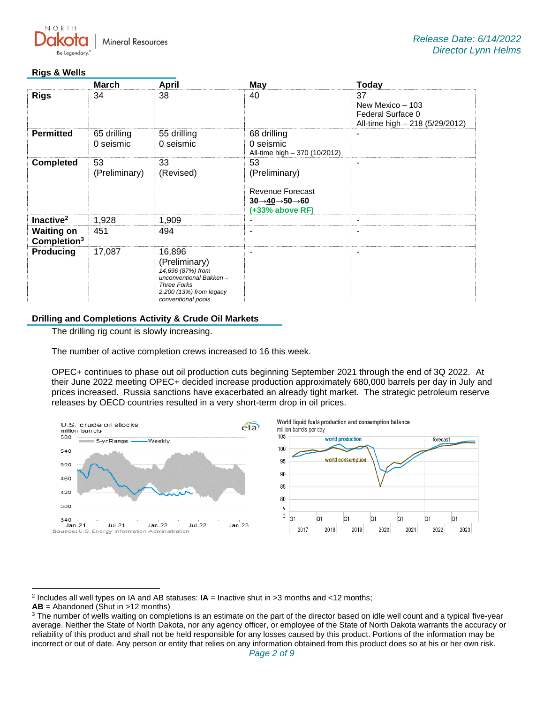**Mineral Resources** 

# **Rigs & Wells**

NORTH

|                                     | <b>March</b>             | <b>April</b>                                                                                                                                  | May                                                                                                                      | <b>Today</b>                                                                   |
|-------------------------------------|--------------------------|-----------------------------------------------------------------------------------------------------------------------------------------------|--------------------------------------------------------------------------------------------------------------------------|--------------------------------------------------------------------------------|
| <b>Rigs</b>                         | 34                       | 38                                                                                                                                            | 40                                                                                                                       | 37<br>New Mexico - 103<br>Federal Surface 0<br>All-time high - 218 (5/29/2012) |
| <b>Permitted</b>                    | 65 drilling<br>0 seismic | 55 drilling<br>0 seismic                                                                                                                      | 68 drilling<br>0 seismic<br>All-time high - 370 (10/2012)                                                                |                                                                                |
| <b>Completed</b>                    | 53<br>(Preliminary)      | 33<br>(Revised)                                                                                                                               | 53<br>(Preliminary)<br><b>Revenue Forecast</b><br>$30 \rightarrow 40 \rightarrow 50 \rightarrow 60$<br>$(+33%$ above RF) |                                                                                |
| Inactive <sup>2</sup>               | 1,928                    | 1,909                                                                                                                                         |                                                                                                                          | ۰                                                                              |
| <b>Waiting on</b><br>Completion $3$ | 451                      | 494                                                                                                                                           | $\overline{\phantom{0}}$                                                                                                 | ۰                                                                              |
| <b>Producing</b>                    | 17,087                   | 16,896<br>(Preliminary)<br>14,696 (87%) from<br>unconventional Bakken-<br><b>Three Forks</b><br>2,200 (13%) from legacy<br>conventional pools | $\overline{\phantom{0}}$                                                                                                 | ۰                                                                              |

## **Drilling and Completions Activity & Crude Oil Markets**

The drilling rig count is slowly increasing.

The number of active completion crews increased to 16 this week.

OPEC+ continues to phase out oil production cuts beginning September 2021 through the end of 3Q 2022. At their June 2022 meeting OPEC+ decided increase production approximately 680,000 barrels per day in July and prices increased. Russia sanctions have exacerbated an already tight market. The strategic petroleum reserve releases by OECD countries resulted in a very short-term drop in oil prices.



2 Includes all well types on IA and AB statuses: **IA** = Inactive shut in >3 months and <12 months;

**AB** = Abandoned (Shut in >12 months)

<sup>&</sup>lt;sup>3</sup> The number of wells waiting on completions is an estimate on the part of the director based on idle well count and a typical five-year average. Neither the State of North Dakota, nor any agency officer, or employee of the State of North Dakota warrants the accuracy or reliability of this product and shall not be held responsible for any losses caused by this product. Portions of the information may be incorrect or out of date. Any person or entity that relies on any information obtained from this product does so at his or her own risk.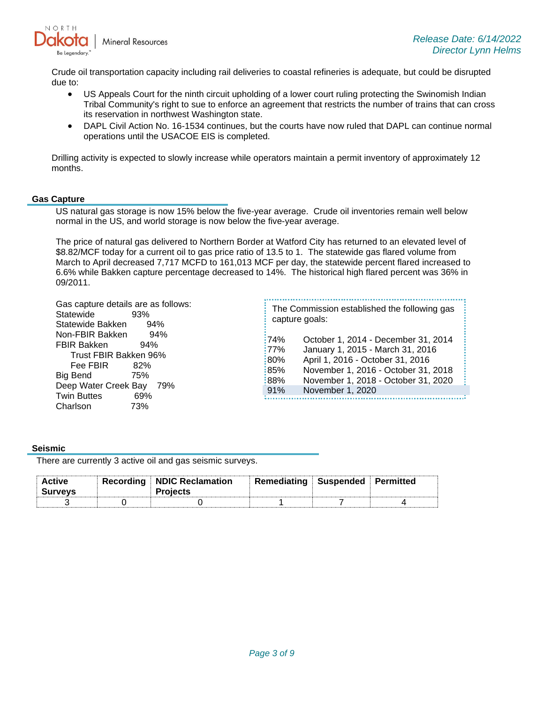

Crude oil transportation capacity including rail deliveries to coastal refineries is adequate, but could be disrupted due to:

- US Appeals Court for the ninth circuit upholding of a lower court ruling protecting the Swinomish Indian Tribal Community's right to sue to enforce an agreement that restricts the number of trains that can cross its reservation in northwest Washington state.
- DAPL Civil Action No. 16-1534 continues, but the courts have now ruled that DAPL can continue normal operations until the USACOE EIS is completed.

Drilling activity is expected to slowly increase while operators maintain a permit inventory of approximately 12 months.

#### **Gas Capture**

US natural gas storage is now 15% below the five-year average. Crude oil inventories remain well below normal in the US, and world storage is now below the five-year average.

The price of natural gas delivered to Northern Border at Watford City has returned to an elevated level of \$8.82/MCF today for a current oil to gas price ratio of 13.5 to 1. The statewide gas flared volume from March to April decreased 7,717 MCFD to 161,013 MCF per day, the statewide percent flared increased to 6.6% while Bakken capture percentage decreased to 14%. The historical high flared percent was 36% in 09/2011.

Gas capture details are as follows: Statewide 93% Statewide Bakken 94% Non-FBIR Bakken 94% FBIR Bakken 94% Trust FBIR Bakken 96% Fee FBIR 82% Big Bend 75% Deep Water Creek Bay 79% Twin Buttes 69% Charlson 73%

The Commission established the following gas

capture goals:

74% October 1, 2014 - December 31, 2014 77% January 1, 2015 - March 31, 2016 80% April 1, 2016 - October 31, 2016 85% November 1, 2016 - October 31, 2018 88% November 1, 2018 - October 31, 2020 91% November 1, 2020

#### **Seismic**

There are currently 3 active oil and gas seismic surveys.

| <b>Active</b><br><b>Surveys</b> | ■ Recording   NDIC Reclamation<br><b>Projects</b> | Remediating Suspended Permitted |  |
|---------------------------------|---------------------------------------------------|---------------------------------|--|
|                                 |                                                   |                                 |  |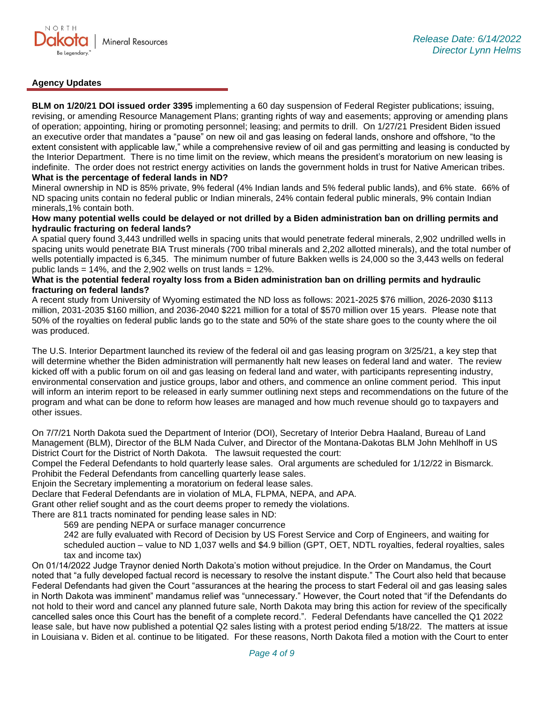

# **Agency Updates**

**BLM on 1/20/21 DOI issued order 3395** implementing a 60 day suspension of Federal Register publications; issuing, revising, or amending Resource Management Plans; granting rights of way and easements; approving or amending plans of operation; appointing, hiring or promoting personnel; leasing; and permits to drill. On 1/27/21 President Biden issued an executive order that mandates a "pause" on new oil and gas leasing on federal lands, onshore and offshore, "to the extent consistent with applicable law," while a comprehensive review of oil and gas permitting and leasing is conducted by the Interior Department. There is no time limit on the review, which means the president's moratorium on new leasing is indefinite. The order does not restrict energy activities on lands the government holds in trust for Native American tribes. **What is the percentage of federal lands in ND?**

Mineral ownership in ND is 85% private, 9% federal (4% Indian lands and 5% federal public lands), and 6% state. 66% of ND spacing units contain no federal public or Indian minerals, 24% contain federal public minerals, 9% contain Indian minerals,1% contain both.

#### **How many potential wells could be delayed or not drilled by a Biden administration ban on drilling permits and hydraulic fracturing on federal lands?**

A spatial query found 3,443 undrilled wells in spacing units that would penetrate federal minerals, 2,902 undrilled wells in spacing units would penetrate BIA Trust minerals (700 tribal minerals and 2,202 allotted minerals), and the total number of wells potentially impacted is 6,345. The minimum number of future Bakken wells is 24,000 so the 3,443 wells on federal public lands =  $14\%$ , and the 2,902 wells on trust lands =  $12\%$ .

### **What is the potential federal royalty loss from a Biden administration ban on drilling permits and hydraulic fracturing on federal lands?**

A recent study from University of Wyoming estimated the ND loss as follows: 2021-2025 \$76 million, 2026-2030 \$113 million, 2031-2035 \$160 million, and 2036-2040 \$221 million for a total of \$570 million over 15 years. Please note that 50% of the royalties on federal public lands go to the state and 50% of the state share goes to the county where the oil was produced.

The U.S. Interior Department launched its review of the federal oil and gas leasing program on 3/25/21, a key step that will determine whether the Biden administration will permanently halt new leases on federal land and water. The review kicked off with a public forum on oil and gas leasing on federal land and water, with participants representing industry, environmental conservation and justice groups, labor and others, and commence an online comment period. This input will inform an interim report to be released in early summer outlining next steps and recommendations on the future of the program and what can be done to reform how leases are managed and how much revenue should go to taxpayers and other issues.

On 7/7/21 North Dakota sued the Department of Interior (DOI), Secretary of Interior Debra Haaland, Bureau of Land Management (BLM), Director of the BLM Nada Culver, and Director of the Montana-Dakotas BLM John Mehlhoff in US District Court for the District of North Dakota. The lawsuit requested the court:

Compel the Federal Defendants to hold quarterly lease sales. Oral arguments are scheduled for 1/12/22 in Bismarck. Prohibit the Federal Defendants from cancelling quarterly lease sales.

Enjoin the Secretary implementing a moratorium on federal lease sales.

Declare that Federal Defendants are in violation of MLA, FLPMA, NEPA, and APA.

Grant other relief sought and as the court deems proper to remedy the violations.

There are 811 tracts nominated for pending lease sales in ND:

569 are pending NEPA or surface manager concurrence

242 are fully evaluated with Record of Decision by US Forest Service and Corp of Engineers, and waiting for scheduled auction – value to ND 1,037 wells and \$4.9 billion (GPT, OET, NDTL royalties, federal royalties, sales tax and income tax)

On 01/14/2022 Judge Traynor denied North Dakota's motion without prejudice. In the Order on Mandamus, the Court noted that "a fully developed factual record is necessary to resolve the instant dispute." The Court also held that because Federal Defendants had given the Court "assurances at the hearing the process to start Federal oil and gas leasing sales in North Dakota was imminent" mandamus relief was "unnecessary." However, the Court noted that "if the Defendants do not hold to their word and cancel any planned future sale, North Dakota may bring this action for review of the specifically cancelled sales once this Court has the benefit of a complete record.". Federal Defendants have cancelled the Q1 2022 lease sale, but have now published a potential Q2 sales listing with a protest period ending 5/18/22. The matters at issue in Louisiana v. Biden et al. continue to be litigated. For these reasons, North Dakota filed a motion with the Court to enter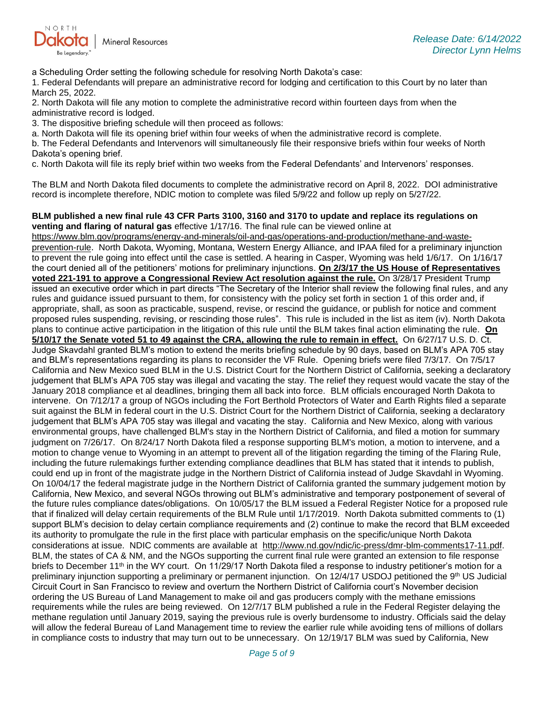

a Scheduling Order setting the following schedule for resolving North Dakota's case:

1. Federal Defendants will prepare an administrative record for lodging and certification to this Court by no later than March 25, 2022.

2. North Dakota will file any motion to complete the administrative record within fourteen days from when the administrative record is lodged.

3. The dispositive briefing schedule will then proceed as follows:

a. North Dakota will file its opening brief within four weeks of when the administrative record is complete.

b. The Federal Defendants and Intervenors will simultaneously file their responsive briefs within four weeks of North Dakota's opening brief.

c. North Dakota will file its reply brief within two weeks from the Federal Defendants' and Intervenors' responses.

The BLM and North Dakota filed documents to complete the administrative record on April 8, 2022. DOI administrative record is incomplete therefore, NDIC motion to complete was filed 5/9/22 and follow up reply on 5/27/22.

## **BLM published a new final rule 43 CFR Parts 3100, 3160 and 3170 to update and replace its regulations on venting and flaring of natural gas** effective 1/17/16. The final rule can be viewed online at

[https://www.blm.gov/programs/energy-and-minerals/oil-and-gas/operations-and-production/methane-and-waste](https://gcc02.safelinks.protection.outlook.com/?url=https%3A%2F%2Fwww.blm.gov%2Fprograms%2Fenergy-and-minerals%2Foil-and-gas%2Foperations-and-production%2Fmethane-and-waste-prevention-rule&data=05%7C01%7Ckahaarsager%40nd.gov%7Ce0f85c848d41474ef10608da4e1f48b0%7C2dea0464da514a88bae2b3db94bc0c54%7C0%7C0%7C637908193519399692%7CUnknown%7CTWFpbGZsb3d8eyJWIjoiMC4wLjAwMDAiLCJQIjoiV2luMzIiLCJBTiI6Ik1haWwiLCJXVCI6Mn0%3D%7C3000%7C%7C%7C&sdata=4A%2FH8JjbYn7PWrlyapFyiF3POzi8G50AEcK99kjttDI%3D&reserved=0)[prevention-rule](https://gcc02.safelinks.protection.outlook.com/?url=https%3A%2F%2Fwww.blm.gov%2Fprograms%2Fenergy-and-minerals%2Foil-and-gas%2Foperations-and-production%2Fmethane-and-waste-prevention-rule&data=05%7C01%7Ckahaarsager%40nd.gov%7Ce0f85c848d41474ef10608da4e1f48b0%7C2dea0464da514a88bae2b3db94bc0c54%7C0%7C0%7C637908193519399692%7CUnknown%7CTWFpbGZsb3d8eyJWIjoiMC4wLjAwMDAiLCJQIjoiV2luMzIiLCJBTiI6Ik1haWwiLCJXVCI6Mn0%3D%7C3000%7C%7C%7C&sdata=4A%2FH8JjbYn7PWrlyapFyiF3POzi8G50AEcK99kjttDI%3D&reserved=0). North Dakota, Wyoming, Montana, Western Energy Alliance, and IPAA filed for a preliminary injunction to prevent the rule going into effect until the case is settled. A hearing in Casper, Wyoming was held 1/6/17. On 1/16/17 the court denied all of the petitioners' motions for preliminary injunctions. **On 2/3/17 the US House of Representatives voted 221-191 to approve a Congressional Review Act resolution against the rule.** On 3/28/17 President Trump issued an executive order which in part directs "The Secretary of the Interior shall review the following final rules, and any rules and guidance issued pursuant to them, for consistency with the policy set forth in section 1 of this order and, if appropriate, shall, as soon as practicable, suspend, revise, or rescind the guidance, or publish for notice and comment proposed rules suspending, revising, or rescinding those rules". This rule is included in the list as item (iv). North Dakota plans to continue active participation in the litigation of this rule until the BLM takes final action eliminating the rule. **On 5/10/17 the Senate voted 51 to 49 against the CRA, allowing the rule to remain in effect.** On 6/27/17 U.S. D. Ct. Judge Skavdahl granted BLM's motion to extend the merits briefing schedule by 90 days, based on BLM's APA 705 stay and BLM's representations regarding its plans to reconsider the VF Rule. Opening briefs were filed 7/3/17. On 7/5/17 California and New Mexico sued BLM in the U.S. District Court for the Northern District of California, seeking a declaratory judgement that BLM's APA 705 stay was illegal and vacating the stay. The relief they request would vacate the stay of the January 2018 compliance et al deadlines, bringing them all back into force. BLM officials encouraged North Dakota to intervene. On 7/12/17 a group of NGOs including the Fort Berthold Protectors of Water and Earth Rights filed a separate suit against the BLM in federal court in the U.S. District Court for the Northern District of California, seeking a declaratory judgement that BLM's APA 705 stay was illegal and vacating the stay. California and New Mexico, along with various environmental groups, have challenged BLM's stay in the Northern District of California, and filed a motion for summary judgment on 7/26/17. On 8/24/17 North Dakota filed a response supporting BLM's motion, a motion to intervene, and a motion to change venue to Wyoming in an attempt to prevent all of the litigation regarding the timing of the Flaring Rule, including the future rulemakings further extending compliance deadlines that BLM has stated that it intends to publish, could end up in front of the magistrate judge in the Northern District of California instead of Judge Skavdahl in Wyoming. On 10/04/17 the federal magistrate judge in the Northern District of California granted the summary judgement motion by California, New Mexico, and several NGOs throwing out BLM's administrative and temporary postponement of several of the future rules compliance dates/obligations. On 10/05/17 the BLM issued a Federal Register Notice for a proposed rule that if finalized will delay certain requirements of the BLM Rule until 1/17/2019. North Dakota submitted comments to (1) support BLM's decision to delay certain compliance requirements and (2) continue to make the record that BLM exceeded its authority to promulgate the rule in the first place with particular emphasis on the specific/unique North Dakota considerations at issue. NDIC comments are available at [http://www.nd.gov/ndic/ic-press/dmr-blm-comments17-11.pdf.](http://www.nd.gov/ndic/ic-press/dmr-blm-comments17-11.pdf) BLM, the states of CA & NM, and the NGOs supporting the current final rule were granted an extension to file response briefs to December 11<sup>th</sup> in the WY court. On 11/29/17 North Dakota filed a response to industry petitioner's motion for a preliminary injunction supporting a preliminary or permanent injunction. On 12/4/17 USDOJ petitioned the 9<sup>th</sup> US Judicial Circuit Court in San Francisco to review and overturn the Northern District of California court's November decision ordering the US Bureau of Land Management to make oil and gas producers comply with the methane emissions requirements while the rules are being reviewed. On 12/7/17 BLM published a rule in the Federal Register delaying the methane regulation until January 2019, saying the previous rule is overly burdensome to industry. Officials said the delay will allow the federal Bureau of Land Management time to review the earlier rule while avoiding tens of millions of dollars in compliance costs to industry that may turn out to be unnecessary. On 12/19/17 BLM was sued by California, New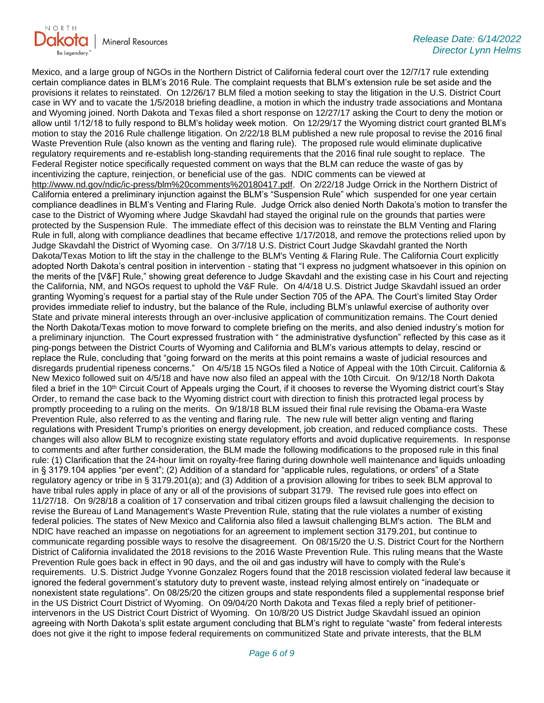

Mexico, and a large group of NGOs in the Northern District of California federal court over the 12/7/17 rule extending certain compliance dates in BLM's 2016 Rule. The complaint requests that BLM's extension rule be set aside and the provisions it relates to reinstated. On 12/26/17 BLM filed a motion seeking to stay the litigation in the U.S. District Court case in WY and to vacate the 1/5/2018 briefing deadline, a motion in which the industry trade associations and Montana and Wyoming joined. North Dakota and Texas filed a short response on 12/27/17 asking the Court to deny the motion or allow until 1/12/18 to fully respond to BLM's holiday week motion. On 12/29/17 the Wyoming district court granted BLM's motion to stay the 2016 Rule challenge litigation. On 2/22/18 BLM published a new rule proposal to revise the 2016 final Waste Prevention Rule (also known as the venting and flaring rule). The proposed rule would eliminate duplicative regulatory requirements and re-establish long-standing requirements that the 2016 final rule sought to replace. The Federal Register notice specifically requested comment on ways that the BLM can reduce the waste of gas by incentivizing the capture, reinjection, or beneficial use of the gas. NDIC comments can be viewed at [http://www.nd.gov/ndic/ic-press/blm%20comments%20180417.pdf.](http://www.nd.gov/ndic/ic-press/blm%20comments%20180417.pdf) On 2/22/18 Judge Orrick in the Northern District of California entered a preliminary injunction against the BLM's "Suspension Rule" which suspended for one year certain compliance deadlines in BLM's Venting and Flaring Rule. Judge Orrick also denied North Dakota's motion to transfer the case to the District of Wyoming where Judge Skavdahl had stayed the original rule on the grounds that parties were protected by the Suspension Rule. The immediate effect of this decision was to reinstate the BLM Venting and Flaring Rule in full, along with compliance deadlines that became effective 1/17/2018, and remove the protections relied upon by Judge Skavdahl the District of Wyoming case. On 3/7/18 U.S. District Court Judge Skavdahl granted the North Dakota/Texas Motion to lift the stay in the challenge to the BLM's Venting & Flaring Rule. The California Court explicitly adopted North Dakota's central position in intervention - stating that "I express no judgment whatsoever in this opinion on the merits of the [V&F] Rule," showing great deference to Judge Skavdahl and the existing case in his Court and rejecting the California, NM, and NGOs request to uphold the V&F Rule. On 4/4/18 U.S. District Judge Skavdahl issued an order granting Wyoming's request for a partial stay of the Rule under Section 705 of the APA. The Court's limited Stay Order provides immediate relief to industry, but the balance of the Rule, including BLM's unlawful exercise of authority over State and private mineral interests through an over-inclusive application of communitization remains. The Court denied the North Dakota/Texas motion to move forward to complete briefing on the merits, and also denied industry's motion for a preliminary injunction. The Court expressed frustration with " the administrative dysfunction" reflected by this case as it ping-pongs between the District Courts of Wyoming and California and BLM's various attempts to delay, rescind or replace the Rule, concluding that "going forward on the merits at this point remains a waste of judicial resources and disregards prudential ripeness concerns." On 4/5/18 15 NGOs filed a Notice of Appeal with the 10th Circuit. California & New Mexico followed suit on 4/5/18 and have now also filed an appeal with the 10th Circuit. On 9/12/18 North Dakota filed a brief in the 10<sup>th</sup> Circuit Court of Appeals urging the Court, if it chooses to reverse the Wyoming district court's Stay Order, to remand the case back to the Wyoming district court with direction to finish this protracted legal process by promptly proceeding to a ruling on the merits. On 9/18/18 BLM issued their final rule revising the Obama-era Waste Prevention Rule, also referred to as the venting and flaring rule. The new rule will better align venting and flaring regulations with President Trump's priorities on energy development, job creation, and reduced compliance costs. These changes will also allow BLM to recognize existing state regulatory efforts and avoid duplicative requirements. In response to comments and after further consideration, the BLM made the following modifications to the proposed rule in this final rule: (1) Clarification that the 24-hour limit on royalty-free flaring during downhole well maintenance and liquids unloading in § 3179.104 applies "per event"; (2) Addition of a standard for "applicable rules, regulations, or orders" of a State regulatory agency or tribe in § 3179.201(a); and (3) Addition of a provision allowing for tribes to seek BLM approval to have tribal rules apply in place of any or all of the provisions of subpart 3179. The revised rule goes into effect on 11/27/18. On 9/28/18 a coalition of 17 conservation and tribal citizen groups filed a lawsuit challenging the decision to revise the Bureau of Land Management's Waste Prevention Rule, stating that the rule violates a number of existing federal policies. The states of New Mexico and California also filed a lawsuit challenging BLM's action. The BLM and NDIC have reached an impasse on negotiations for an agreement to implement section 3179.201, but continue to communicate regarding possible ways to resolve the disagreement. On 08/15/20 the U.S. District Court for the Northern District of California invalidated the 2018 revisions to the 2016 Waste Prevention Rule. This ruling means that the Waste Prevention Rule goes back in effect in 90 days, and the oil and gas industry will have to comply with the Rule's requirements. U.S. District Judge Yvonne Gonzalez Rogers found that the 2018 rescission violated federal law because it ignored the federal government's statutory duty to prevent waste, instead relying almost entirely on "inadequate or nonexistent state regulations". On 08/25/20 the citizen groups and state respondents filed a supplemental response brief in the US District Court District of Wyoming. On 09/04/20 North Dakota and Texas filed a reply brief of petitionerintervenors in the US District Court District of Wyoming. On 10/8/20 US District Judge Skavdahl issued an opinion agreeing with North Dakota's split estate argument concluding that BLM's right to regulate "waste" from federal interests does not give it the right to impose federal requirements on communitized State and private interests, that the BLM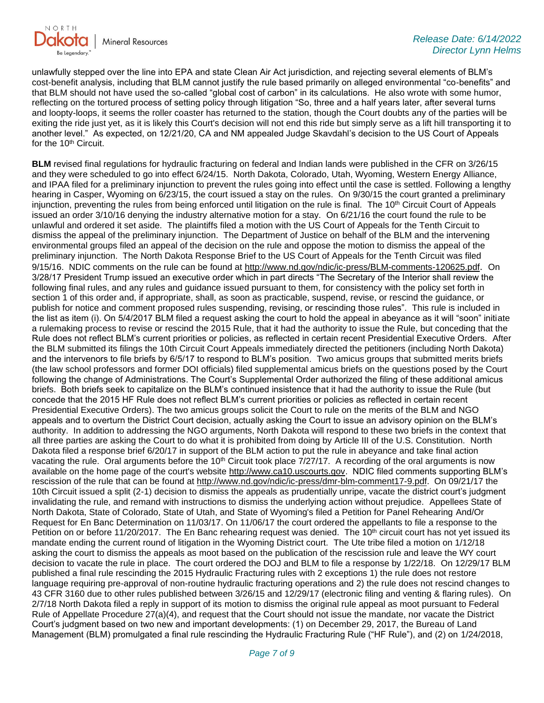

unlawfully stepped over the line into EPA and state Clean Air Act jurisdiction, and rejecting several elements of BLM's cost-benefit analysis, including that BLM cannot justify the rule based primarily on alleged environmental "co-benefits" and that BLM should not have used the so-called "global cost of carbon" in its calculations. He also wrote with some humor, reflecting on the tortured process of setting policy through litigation "So, three and a half years later, after several turns and loopty-loops, it seems the roller coaster has returned to the station, though the Court doubts any of the parties will be exiting the ride just yet, as it is likely this Court's decision will not end this ride but simply serve as a lift hill transporting it to another level." As expected, on 12/21/20, CA and NM appealed Judge Skavdahl's decision to the US Court of Appeals for the 10<sup>th</sup> Circuit.

**BLM** revised final regulations for hydraulic fracturing on federal and Indian lands were published in the CFR on 3/26/15 and they were scheduled to go into effect 6/24/15. North Dakota, Colorado, Utah, Wyoming, Western Energy Alliance, and IPAA filed for a preliminary injunction to prevent the rules going into effect until the case is settled. Following a lengthy hearing in Casper, Wyoming on 6/23/15, the court issued a stay on the rules. On 9/30/15 the court granted a preliminary injunction, preventing the rules from being enforced until litigation on the rule is final. The 10<sup>th</sup> Circuit Court of Appeals issued an order 3/10/16 denying the industry alternative motion for a stay. On 6/21/16 the court found the rule to be unlawful and ordered it set aside. The plaintiffs filed a motion with the US Court of Appeals for the Tenth Circuit to dismiss the appeal of the preliminary injunction. The Department of Justice on behalf of the BLM and the intervening environmental groups filed an appeal of the decision on the rule and oppose the motion to dismiss the appeal of the preliminary injunction. The North Dakota Response Brief to the US Court of Appeals for the Tenth Circuit was filed 9/15/16. NDIC comments on the rule can be found at<http://www.nd.gov/ndic/ic-press/BLM-comments-120625.pdf>. On 3/28/17 President Trump issued an executive order which in part directs "The Secretary of the Interior shall review the following final rules, and any rules and guidance issued pursuant to them, for consistency with the policy set forth in section 1 of this order and, if appropriate, shall, as soon as practicable, suspend, revise, or rescind the guidance, or publish for notice and comment proposed rules suspending, revising, or rescinding those rules". This rule is included in the list as item (i). On 5/4/2017 BLM filed a request asking the court to hold the appeal in abeyance as it will "soon" initiate a rulemaking process to revise or rescind the 2015 Rule, that it had the authority to issue the Rule, but conceding that the Rule does not reflect BLM's current priorities or policies, as reflected in certain recent Presidential Executive Orders. After the BLM submitted its filings the 10th Circuit Court Appeals immediately directed the petitioners (including North Dakota) and the intervenors to file briefs by 6/5/17 to respond to BLM's position. Two amicus groups that submitted merits briefs (the law school professors and former DOI officials) filed supplemental amicus briefs on the questions posed by the Court following the change of Administrations. The Court's Supplemental Order authorized the filing of these additional amicus briefs. Both briefs seek to capitalize on the BLM's continued insistence that it had the authority to issue the Rule (but concede that the 2015 HF Rule does not reflect BLM's current priorities or policies as reflected in certain recent Presidential Executive Orders). The two amicus groups solicit the Court to rule on the merits of the BLM and NGO appeals and to overturn the District Court decision, actually asking the Court to issue an advisory opinion on the BLM's authority. In addition to addressing the NGO arguments, North Dakota will respond to these two briefs in the context that all three parties are asking the Court to do what it is prohibited from doing by Article III of the U.S. Constitution. North Dakota filed a response brief 6/20/17 in support of the BLM action to put the rule in abeyance and take final action vacating the rule. Oral arguments before the 10<sup>th</sup> Circuit took place 7/27/17. A recording of the oral arguments is now available on the home page of the court's website [http://www.ca10.uscourts.gov.](https://urldefense.proofpoint.com/v2/url?u=http-3A__www.ca10.uscourts.gov&d=DwMGaQ&c=2s2mvbfY0UoSKkl6_Ol9wg&r=-wqsZnBxny594KY8HeElow&m=Ul_VtJUX6iW5pvHjCcBxUWtskC0F4Dhry3sPtcEHvCw&s=laRHiLDv5w8otcQWQjpn82WMieoB2AZ-Q4M1LFQPL5s&e=) NDIC filed comments supporting BLM's rescission of the rule that can be found at [http://www.nd.gov/ndic/ic-press/dmr-blm-comment17-9.pdf.](http://www.nd.gov/ndic/ic-press/dmr-blm-comment17-9.pdf) On 09/21/17 the 10th Circuit issued a split (2-1) decision to dismiss the appeals as prudentially unripe, vacate the district court's judgment invalidating the rule, and remand with instructions to dismiss the underlying action without prejudice. Appellees State of North Dakota, State of Colorado, State of Utah, and State of Wyoming's filed a Petition for Panel Rehearing And/Or Request for En Banc Determination on 11/03/17. On 11/06/17 the court ordered the appellants to file a response to the Petition on or before 11/20/2017. The En Banc rehearing request was denied. The 10<sup>th</sup> circuit court has not yet issued its mandate ending the current round of litigation in the Wyoming District court. The Ute tribe filed a motion on 1/12/18 asking the court to dismiss the appeals as moot based on the publication of the rescission rule and leave the WY court decision to vacate the rule in place. The court ordered the DOJ and BLM to file a response by 1/22/18. On 12/29/17 BLM published a final rule rescinding the 2015 Hydraulic Fracturing rules with 2 exceptions 1) the rule does not restore language requiring pre-approval of non-routine hydraulic fracturing operations and 2) the rule does not rescind changes to 43 CFR 3160 due to other rules published between 3/26/15 and 12/29/17 (electronic filing and venting & flaring rules). On 2/7/18 North Dakota filed a reply in support of its motion to dismiss the original rule appeal as moot pursuant to Federal Rule of Appellate Procedure 27(a)(4), and request that the Court should not issue the mandate, nor vacate the District Court's judgment based on two new and important developments: (1) on December 29, 2017, the Bureau of Land Management (BLM) promulgated a final rule rescinding the Hydraulic Fracturing Rule ("HF Rule"), and (2) on 1/24/2018,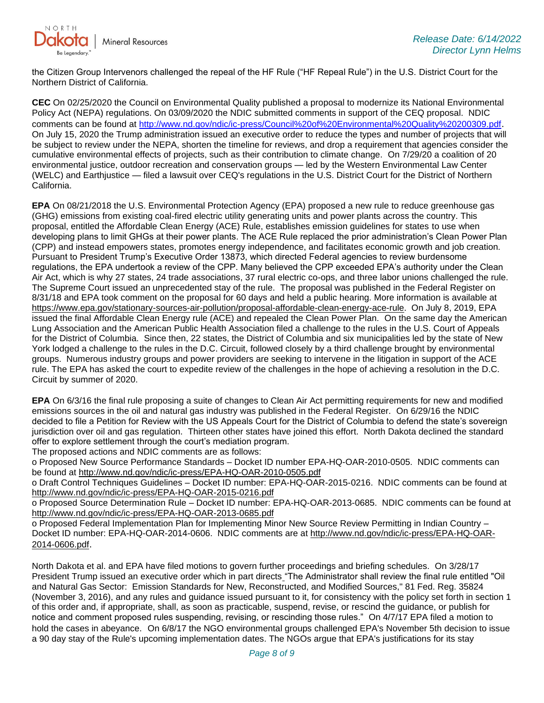

the Citizen Group Intervenors challenged the repeal of the HF Rule ("HF Repeal Rule") in the U.S. District Court for the Northern District of California.

**CEC** On 02/25/2020 the Council on Environmental Quality published a proposal to modernize its National Environmental Policy Act (NEPA) regulations. On 03/09/2020 the NDIC submitted comments in support of the CEQ proposal. NDIC comments can be found at<http://www.nd.gov/ndic/ic-press/Council%20of%20Environmental%20Quality%20200309.pdf>. On July 15, 2020 the Trump administration issued an executive order to reduce the types and number of projects that will be subject to review under the NEPA, shorten the timeline for reviews, and drop a requirement that agencies consider the cumulative environmental effects of projects, such as their contribution to climate change. On 7/29/20 a coalition of 20 environmental justice, outdoor recreation and conservation groups — led by the Western Environmental Law Center (WELC) and Earthjustice — filed a lawsuit over CEQ's regulations in the U.S. District Court for the District of Northern California.

**EPA** On 08/21/2018 the U.S. Environmental Protection Agency (EPA) proposed a new rule to reduce greenhouse gas (GHG) emissions from existing coal-fired electric utility generating units and power plants across the country. This proposal, entitled the Affordable Clean Energy (ACE) Rule, establishes emission guidelines for states to use when developing plans to limit GHGs at their power plants. The ACE Rule replaced the prior administration's Clean Power Plan (CPP) and instead empowers states, promotes energy independence, and facilitates economic growth and job creation. Pursuant to President Trump's Executive Order 13873, which directed Federal agencies to review burdensome regulations, the EPA undertook a review of the CPP. Many believed the CPP exceeded EPA's authority under the Clean Air Act, which is why 27 states, 24 trade associations, 37 rural electric co-ops, and three labor unions challenged the rule. The Supreme Court issued an unprecedented stay of the rule. The proposal was published in the Federal Register on 8/31/18 and EPA took comment on the proposal for 60 days and held a public hearing. More information is available at [https://www.epa.gov/stationary-sources-air-pollution/proposal-affordable-clean-energy-ace-rule.](https://gcc02.safelinks.protection.outlook.com/?url=https%3A%2F%2Fwww.epa.gov%2Fstationary-sources-air-pollution%2Fproposal-affordable-clean-energy-ace-rule&data=05%7C01%7Ckahaarsager%40nd.gov%7Ce0f85c848d41474ef10608da4e1f48b0%7C2dea0464da514a88bae2b3db94bc0c54%7C0%7C0%7C637908193519399692%7CUnknown%7CTWFpbGZsb3d8eyJWIjoiMC4wLjAwMDAiLCJQIjoiV2luMzIiLCJBTiI6Ik1haWwiLCJXVCI6Mn0%3D%7C3000%7C%7C%7C&sdata=2oUARtdcGgcVsenqr%2FXnCY0Iuz166QJEhS03VLdNlX0%3D&reserved=0) On July 8, 2019, EPA issued the final Affordable Clean Energy rule (ACE) and repealed the Clean Power Plan. On the same day the American Lung Association and the American Public Health Association filed a challenge to the rules in the U.S. Court of Appeals for the District of Columbia. Since then, 22 states, the District of Columbia and six municipalities led by the state of New York lodged a challenge to the rules in the D.C. Circuit, followed closely by a third challenge brought by environmental groups. Numerous industry groups and power providers are seeking to intervene in the litigation in support of the ACE rule. The EPA has asked the court to expedite review of the challenges in the hope of achieving a resolution in the D.C. Circuit by summer of 2020.

**EPA** On 6/3/16 the final rule proposing a suite of changes to Clean Air Act permitting requirements for new and modified emissions sources in the oil and natural gas industry was published in the Federal Register. On 6/29/16 the NDIC decided to file a Petition for Review with the US Appeals Court for the District of Columbia to defend the state's sovereign jurisdiction over oil and gas regulation. Thirteen other states have joined this effort. North Dakota declined the standard offer to explore settlement through the court's mediation program.

The proposed actions and NDIC comments are as follows:

o Proposed New Source Performance Standards – Docket ID number EPA-HQ-OAR-2010-0505. NDIC comments can be found at<http://www.nd.gov/ndic/ic-press/EPA-HQ-OAR-2010-0505.pdf>

o Draft Control Techniques Guidelines – Docket ID number: EPA-HQ-OAR-2015-0216. NDIC comments can be found at <http://www.nd.gov/ndic/ic-press/EPA-HQ-OAR-2015-0216.pdf>

o Proposed Source Determination Rule – Docket ID number: EPA-HQ-OAR-2013-0685. NDIC comments can be found at <http://www.nd.gov/ndic/ic-press/EPA-HQ-OAR-2013-0685.pdf>

o Proposed Federal Implementation Plan for Implementing Minor New Source Review Permitting in Indian Country – Docket ID number: EPA-HQ-OAR-2014-0606. NDIC comments are at [http://www.nd.gov/ndic/ic-press/EPA-HQ-OAR-](http://www.nd.gov/ndic/ic-press/EPA-HQ-OAR-2014-0606.pdf)[2014-0606.pdf](http://www.nd.gov/ndic/ic-press/EPA-HQ-OAR-2014-0606.pdf).

North Dakota et al. and EPA have filed motions to govern further proceedings and briefing schedules. On 3/28/17 President Trump issued an executive order which in part directs "The Administrator shall review the final rule entitled "Oil and Natural Gas Sector: Emission Standards for New, Reconstructed, and Modified Sources," 81 Fed. Reg. 35824 (November 3, 2016), and any rules and guidance issued pursuant to it, for consistency with the policy set forth in section 1 of this order and, if appropriate, shall, as soon as practicable, suspend, revise, or rescind the guidance, or publish for notice and comment proposed rules suspending, revising, or rescinding those rules." On 4/7/17 EPA filed a motion to hold the cases in abeyance. On 6/8/17 the NGO environmental groups challenged EPA's November 5th decision to issue a 90 day stay of the Rule's upcoming implementation dates. The NGOs argue that EPA's justifications for its stay